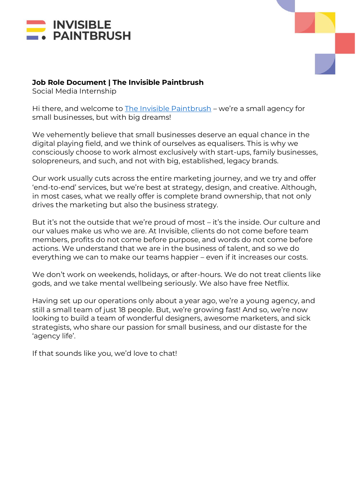



### **Job Role Document | The Invisible Paintbrush**

Social Media Internship

Hi there, and welcome to [The Invisible Paintbrush](http://www.theinvisiblepaintbrush.com/) – we're a small agency for small businesses, but with big dreams!

We vehemently believe that small businesses deserve an equal chance in the digital playing field, and we think of ourselves as equalisers. This is why we consciously choose to work almost exclusively with start-ups, family businesses, solopreneurs, and such, and not with big, established, legacy brands.

Our work usually cuts across the entire marketing journey, and we try and offer 'end-to-end' services, but we're best at strategy, design, and creative. Although, in most cases, what we really offer is complete brand ownership, that not only drives the marketing but also the business strategy.

But it's not the outside that we're proud of most – it's the inside. Our culture and our values make us who we are. At Invisible, clients do not come before team members, profits do not come before purpose, and words do not come before actions. We understand that we are in the business of talent, and so we do everything we can to make our teams happier – even if it increases our costs.

We don't work on weekends, holidays, or after-hours. We do not treat clients like gods, and we take mental wellbeing seriously. We also have free Netflix.

Having set up our operations only about a year ago, we're a young agency, and still a small team of just 18 people. But, we're growing fast! And so, we're now looking to build a team of wonderful designers, awesome marketers, and sick strategists, who share our passion for small business, and our distaste for the 'agency life'.

If that sounds like you, we'd love to chat!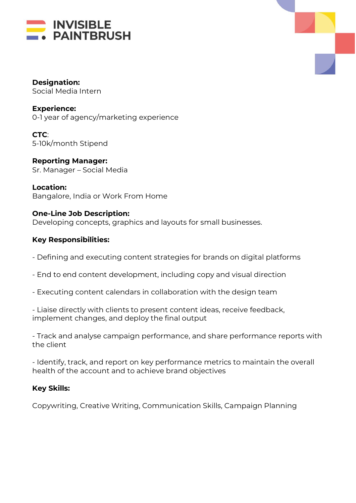



**Designation:**  Social Media Intern

**Experience:** 0-1 year of agency/marketing experience

**CTC**: 5-10k/month Stipend

**Reporting Manager:** Sr. Manager – Social Media

**Location:** Bangalore, India or Work From Home

# **One-Line Job Description:**

Developing concepts, graphics and layouts for small businesses.

# **Key Responsibilities:**

- Defining and executing content strategies for brands on digital platforms
- End to end content development, including copy and visual direction
- Executing content calendars in collaboration with the design team

- Liaise directly with clients to present content ideas, receive feedback, implement changes, and deploy the final output

- Track and analyse campaign performance, and share performance reports with the client

- Identify, track, and report on key performance metrics to maintain the overall health of the account and to achieve brand objectives

# **Key Skills:**

Copywriting, Creative Writing, Communication Skills, Campaign Planning